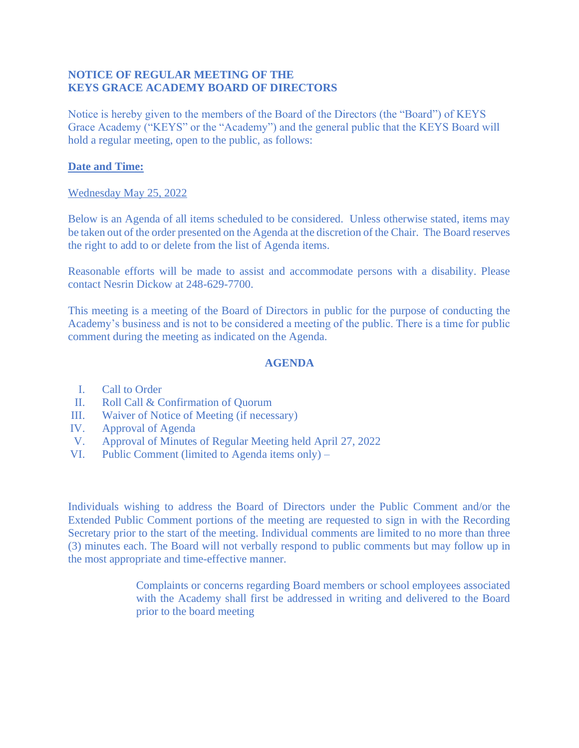## **NOTICE OF REGULAR MEETING OF THE KEYS GRACE ACADEMY BOARD OF DIRECTORS**

Notice is hereby given to the members of the Board of the Directors (the "Board") of KEYS Grace Academy ("KEYS" or the "Academy") and the general public that the KEYS Board will hold a regular meeting, open to the public, as follows:

## **Date and Time:**

## Wednesday May 25, 2022

Below is an Agenda of all items scheduled to be considered. Unless otherwise stated, items may be taken out of the order presented on the Agenda at the discretion of the Chair. The Board reserves the right to add to or delete from the list of Agenda items.

Reasonable efforts will be made to assist and accommodate persons with a disability. Please contact Nesrin Dickow at 248-629-7700.

This meeting is a meeting of the Board of Directors in public for the purpose of conducting the Academy's business and is not to be considered a meeting of the public. There is a time for public comment during the meeting as indicated on the Agenda.

## **AGENDA**

- I. Call to Order
- II. Roll Call & Confirmation of Quorum
- III. Waiver of Notice of Meeting (if necessary)
- IV. Approval of Agenda
- V. Approval of Minutes of Regular Meeting held April 27, 2022
- VI. Public Comment (limited to Agenda items only) –

Individuals wishing to address the Board of Directors under the Public Comment and/or the Extended Public Comment portions of the meeting are requested to sign in with the Recording Secretary prior to the start of the meeting. Individual comments are limited to no more than three (3) minutes each. The Board will not verbally respond to public comments but may follow up in the most appropriate and time-effective manner.

> Complaints or concerns regarding Board members or school employees associated with the Academy shall first be addressed in writing and delivered to the Board prior to the board meeting